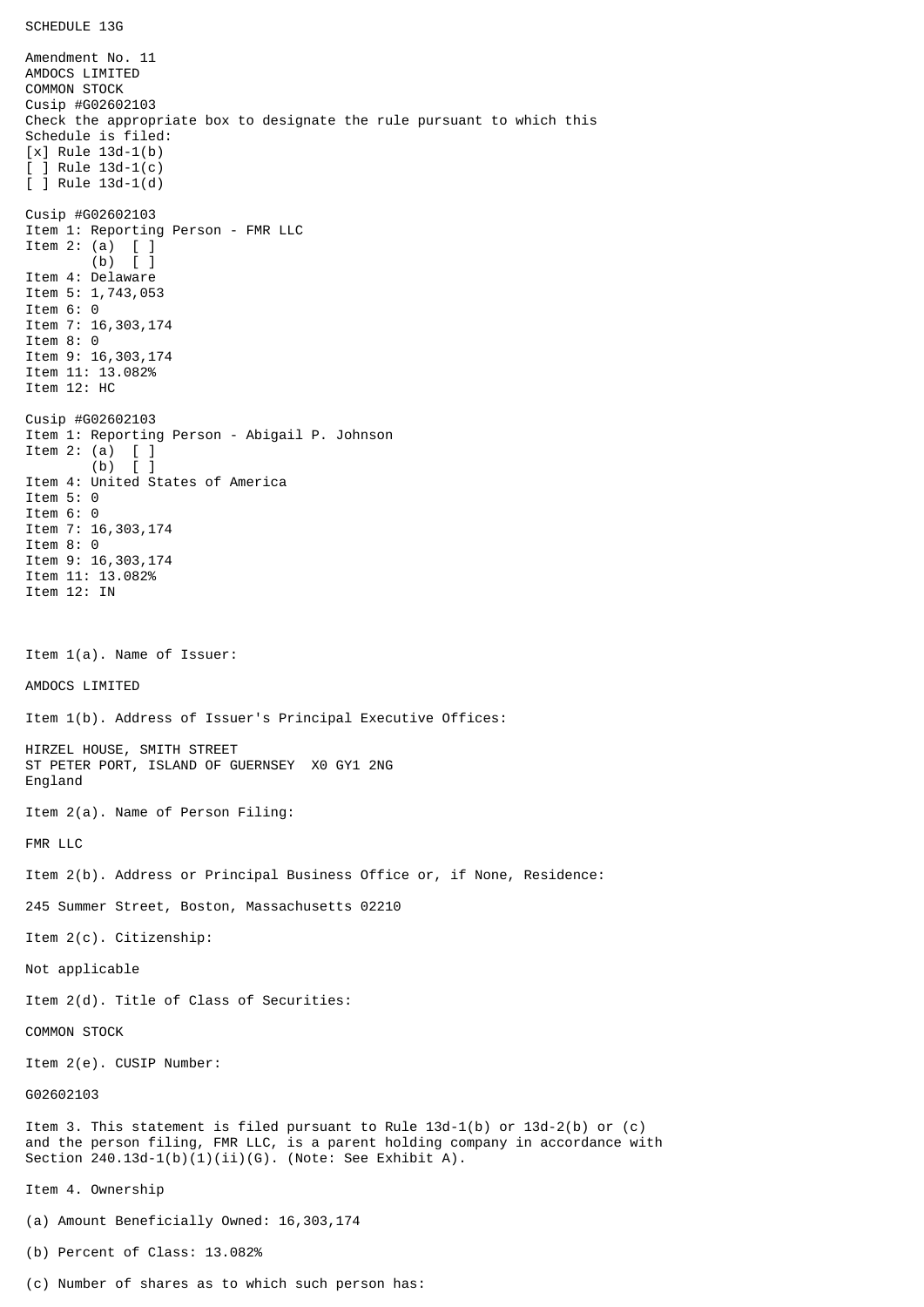Amendment No. 11 AMDOCS LIMITED COMMON STOCK Cusip #G02602103 Check the appropriate box to designate the rule pursuant to which this Schedule is filed: [x] Rule 13d-1(b) [ ] Rule 13d-1(c) [ ] Rule 13d-1(d) Cusip #G02602103 Item 1: Reporting Person - FMR LLC Item 2: (a) [ ] (b) [ ] Item 4: Delaware Item 5: 1,743,053 Item 6: 0 Item 7: 16,303,174 Item 8: 0 Item 9: 16,303,174 Item 11: 13.082% Item 12: HC Cusip #G02602103 Item 1: Reporting Person - Abigail P. Johnson Item 2: (a) [ ] (b) [ ] Item 4: United States of America Item 5: 0 Item 6: 0 Item 7: 16,303,174 Item 8: 0 Item 9: 16,303,174 Item 11: 13.082% Item 12: IN Item 1(a). Name of Issuer: AMDOCS LIMITED Item 1(b). Address of Issuer's Principal Executive Offices: HIRZEL HOUSE, SMITH STREET ST PETER PORT, ISLAND OF GUERNSEY X0 GY1 2NG England Item 2(a). Name of Person Filing: FMR LLC Item 2(b). Address or Principal Business Office or, if None, Residence: 245 Summer Street, Boston, Massachusetts 02210 Item 2(c). Citizenship: Not applicable Item 2(d). Title of Class of Securities: COMMON STOCK Item 2(e). CUSIP Number: G02602103 Item 3. This statement is filed pursuant to Rule 13d-1(b) or 13d-2(b) or (c) and the person filing, FMR LLC, is a parent holding company in accordance with Section  $240.13d-1(b)(1)(ii)(G)$ . (Note: See Exhibit A). Item 4. Ownership (a) Amount Beneficially Owned: 16,303,174 (b) Percent of Class: 13.082%

(c) Number of shares as to which such person has: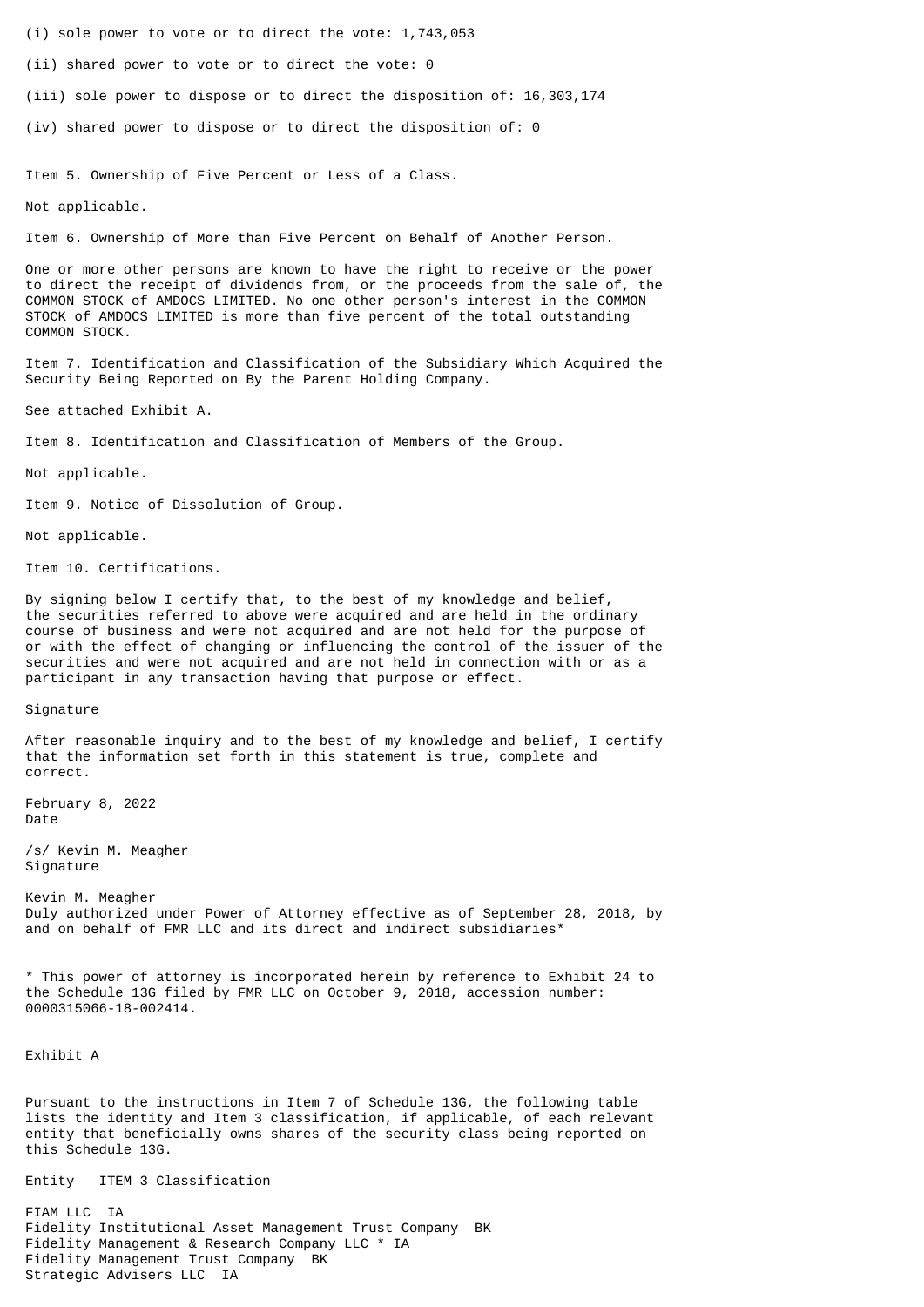- (i) sole power to vote or to direct the vote: 1,743,053
- (ii) shared power to vote or to direct the vote: 0
- (iii) sole power to dispose or to direct the disposition of: 16,303,174
- (iv) shared power to dispose or to direct the disposition of: 0

Item 5. Ownership of Five Percent or Less of a Class.

Not applicable.

Item 6. Ownership of More than Five Percent on Behalf of Another Person.

One or more other persons are known to have the right to receive or the power to direct the receipt of dividends from, or the proceeds from the sale of, the COMMON STOCK of AMDOCS LIMITED. No one other person's interest in the COMMON STOCK of AMDOCS LIMITED is more than five percent of the total outstanding COMMON STOCK.

Item 7. Identification and Classification of the Subsidiary Which Acquired the Security Being Reported on By the Parent Holding Company.

See attached Exhibit A.

Item 8. Identification and Classification of Members of the Group.

Not applicable.

Item 9. Notice of Dissolution of Group.

Not applicable.

Item 10. Certifications.

By signing below I certify that, to the best of my knowledge and belief, the securities referred to above were acquired and are held in the ordinary course of business and were not acquired and are not held for the purpose of or with the effect of changing or influencing the control of the issuer of the securities and were not acquired and are not held in connection with or as a participant in any transaction having that purpose or effect.

Signature

After reasonable inquiry and to the best of my knowledge and belief, I certify that the information set forth in this statement is true, complete and correct.

February 8, 2022 Date

/s/ Kevin M. Meagher Signature

Kevin M. Meagher Duly authorized under Power of Attorney effective as of September 28, 2018, by and on behalf of FMR LLC and its direct and indirect subsidiaries\*

\* This power of attorney is incorporated herein by reference to Exhibit 24 to the Schedule 13G filed by FMR LLC on October 9, 2018, accession number: 0000315066-18-002414.

Exhibit A

Pursuant to the instructions in Item 7 of Schedule 13G, the following table lists the identity and Item 3 classification, if applicable, of each relevant entity that beneficially owns shares of the security class being reported on this Schedule 13G.

Entity ITEM 3 Classification

FIAM LLC IA Fidelity Institutional Asset Management Trust Company BK Fidelity Management & Research Company LLC \* IA Fidelity Management Trust Company BK Strategic Advisers LLC IA